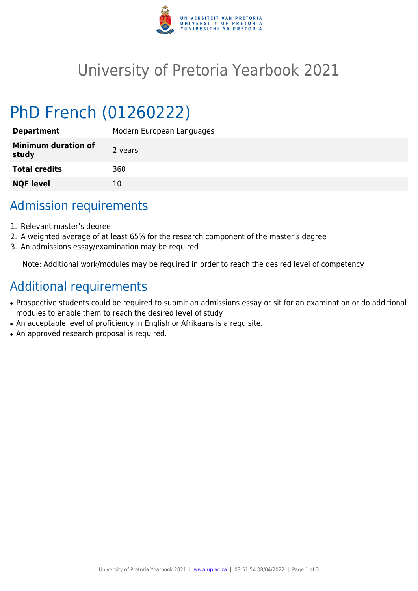

## University of Pretoria Yearbook 2021

# PhD French (01260222)

| Modern European Languages |
|---------------------------|
| 2 years                   |
| 360                       |
| 10                        |
|                           |

### Admission requirements

- 1. Relevant master's degree
- 2. A weighted average of at least 65% for the research component of the master's degree
- 3. An admissions essay/examination may be required

Note: Additional work/modules may be required in order to reach the desired level of competency

#### Additional requirements

- Prospective students could be required to submit an admissions essay or sit for an examination or do additional modules to enable them to reach the desired level of study
- An acceptable level of proficiency in English or Afrikaans is a requisite.
- An approved research proposal is required.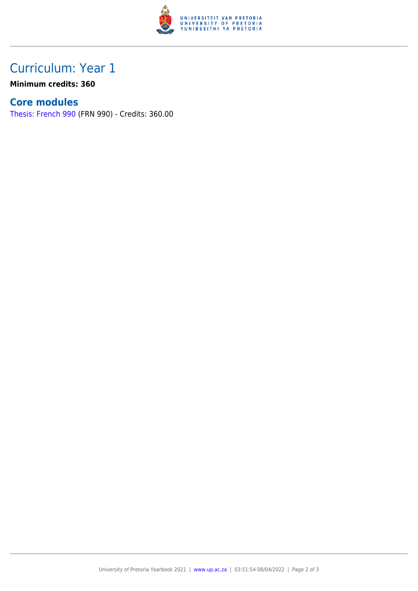

## Curriculum: Year 1

**Minimum credits: 360**

#### **Core modules**

[Thesis: French 990](https://www.up.ac.za/yearbooks/2021/modules/view/FRN 990) (FRN 990) - Credits: 360.00